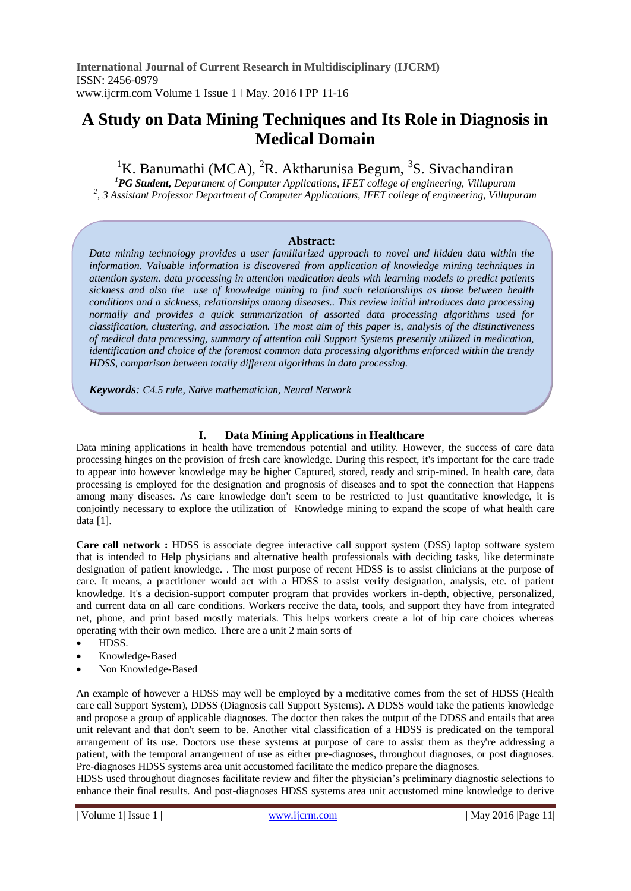# **A Study on Data Mining Techniques and Its Role in Diagnosis in Medical Domain**

<sup>1</sup>K. Banumathi (MCA), <sup>2</sup>R. Aktharunisa Begum, <sup>3</sup>S. Sivachandiran

*<sup>1</sup>PG Student, Department of Computer Applications, IFET college of engineering, Villupuram 2 , 3 Assistant Professor Department of Computer Applications, IFET college of engineering, Villupuram*

## **Abstract:**

*Data mining technology provides a user familiarized approach to novel and hidden data within the information. Valuable information is discovered from application of knowledge mining techniques in attention system. data processing in attention medication deals with learning models to predict patients sickness and also the use of knowledge mining to find such relationships as those between health conditions and a sickness, relationships among diseases.. This review initial introduces data processing normally and provides a quick summarization of assorted data processing algorithms used for classification, clustering, and association. The most aim of this paper is, analysis of the distinctiveness of medical data processing, summary of attention call Support Systems presently utilized in medication, identification and choice of the foremost common data processing algorithms enforced within the trendy HDSS, comparison between totally different algorithms in data processing.*

*Keywords: C4.5 rule, Naïve mathematician, Neural Network*

## **I. Data Mining Applications in Healthcare**

Data mining applications in health have tremendous potential and utility. However, the success of care data processing hinges on the provision of fresh care knowledge. During this respect, it's important for the care trade to appear into however knowledge may be higher Captured, stored, ready and strip-mined. In health care, data processing is employed for the designation and prognosis of diseases and to spot the connection that Happens among many diseases. As care knowledge don't seem to be restricted to just quantitative knowledge, it is conjointly necessary to explore the utilization of Knowledge mining to expand the scope of what health care data [1].

**Care call network :** HDSS is associate degree interactive call support system (DSS) laptop software system that is intended to Help physicians and alternative health professionals with deciding tasks, like determinate designation of patient knowledge. . The most purpose of recent HDSS is to assist clinicians at the purpose of care. It means, a practitioner would act with a HDSS to assist verify designation, analysis, etc. of patient knowledge. It's a decision-support computer program that provides workers in-depth, objective, personalized, and current data on all care conditions. Workers receive the data, tools, and support they have from integrated net, phone, and print based mostly materials. This helps workers create a lot of hip care choices whereas operating with their own medico. There are a unit 2 main sorts of

- HDSS.
- Knowledge-Based
- Non Knowledge-Based

An example of however a HDSS may well be employed by a meditative comes from the set of HDSS (Health care call Support System), DDSS (Diagnosis call Support Systems). A DDSS would take the patients knowledge and propose a group of applicable diagnoses. The doctor then takes the output of the DDSS and entails that area unit relevant and that don't seem to be. Another vital classification of a HDSS is predicated on the temporal arrangement of its use. Doctors use these systems at purpose of care to assist them as they're addressing a patient, with the temporal arrangement of use as either pre-diagnoses, throughout diagnoses, or post diagnoses. Pre-diagnoses HDSS systems area unit accustomed facilitate the medico prepare the diagnoses.

HDSS used throughout diagnoses facilitate review and filter the physician's preliminary diagnostic selections to enhance their final results. And post-diagnoses HDSS systems area unit accustomed mine knowledge to derive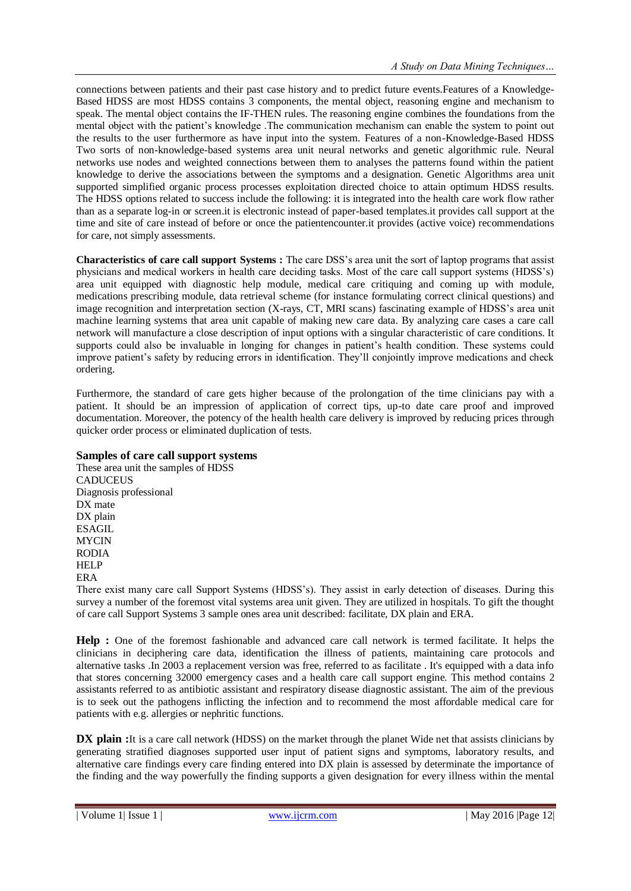connections between patients and their past case history and to predict future events.Features of a Knowledge-Based HDSS are most HDSS contains 3 components, the mental object, reasoning engine and mechanism to speak. The mental object contains the IF-THEN rules. The reasoning engine combines the foundations from the mental object with the patient's knowledge .The communication mechanism can enable the system to point out the results to the user furthermore as have input into the system. Features of a non-Knowledge-Based HDSS Two sorts of non-knowledge-based systems area unit neural networks and genetic algorithmic rule. Neural networks use nodes and weighted connections between them to analyses the patterns found within the patient knowledge to derive the associations between the symptoms and a designation. Genetic Algorithms area unit supported simplified organic process processes exploitation directed choice to attain optimum HDSS results. The HDSS options related to success include the following: it is integrated into the health care work flow rather than as a separate log-in or screen.it is electronic instead of paper-based templates.it provides call support at the time and site of care instead of before or once the patientencounter.it provides (active voice) recommendations for care, not simply assessments.

**Characteristics of care call support Systems :** The care DSS's area unit the sort of laptop programs that assist physicians and medical workers in health care deciding tasks. Most of the care call support systems (HDSS's) area unit equipped with diagnostic help module, medical care critiquing and coming up with module, medications prescribing module, data retrieval scheme (for instance formulating correct clinical questions) and image recognition and interpretation section (X-rays, CT, MRI scans) fascinating example of HDSS's area unit machine learning systems that area unit capable of making new care data. By analyzing care cases a care call network will manufacture a close description of input options with a singular characteristic of care conditions. It supports could also be invaluable in longing for changes in patient's health condition. These systems could improve patient's safety by reducing errors in identification. They'll conjointly improve medications and check ordering.

Furthermore, the standard of care gets higher because of the prolongation of the time clinicians pay with a patient. It should be an impression of application of correct tips, up-to date care proof and improved documentation. Moreover, the potency of the health health care delivery is improved by reducing prices through quicker order process or eliminated duplication of tests.

#### **Samples of care call support systems**

These area unit the samples of HDSS **CADUCEUS** Diagnosis professional DX mate DX plain ESAGIL **MYCIN** RODIA HELP ERA

There exist many care call Support Systems (HDSS's). They assist in early detection of diseases. During this survey a number of the foremost vital systems area unit given. They are utilized in hospitals. To gift the thought of care call Support Systems 3 sample ones area unit described: facilitate, DX plain and ERA.

**Help :** One of the foremost fashionable and advanced care call network is termed facilitate. It helps the clinicians in deciphering care data, identification the illness of patients, maintaining care protocols and alternative tasks .In 2003 a replacement version was free, referred to as facilitate . It's equipped with a data info that stores concerning 32000 emergency cases and a health care call support engine. This method contains 2 assistants referred to as antibiotic assistant and respiratory disease diagnostic assistant. The aim of the previous is to seek out the pathogens inflicting the infection and to recommend the most affordable medical care for patients with e.g. allergies or nephritic functions.

**DX** plain : It is a care call network (HDSS) on the market through the planet Wide net that assists clinicians by generating stratified diagnoses supported user input of patient signs and symptoms, laboratory results, and alternative care findings every care finding entered into DX plain is assessed by determinate the importance of the finding and the way powerfully the finding supports a given designation for every illness within the mental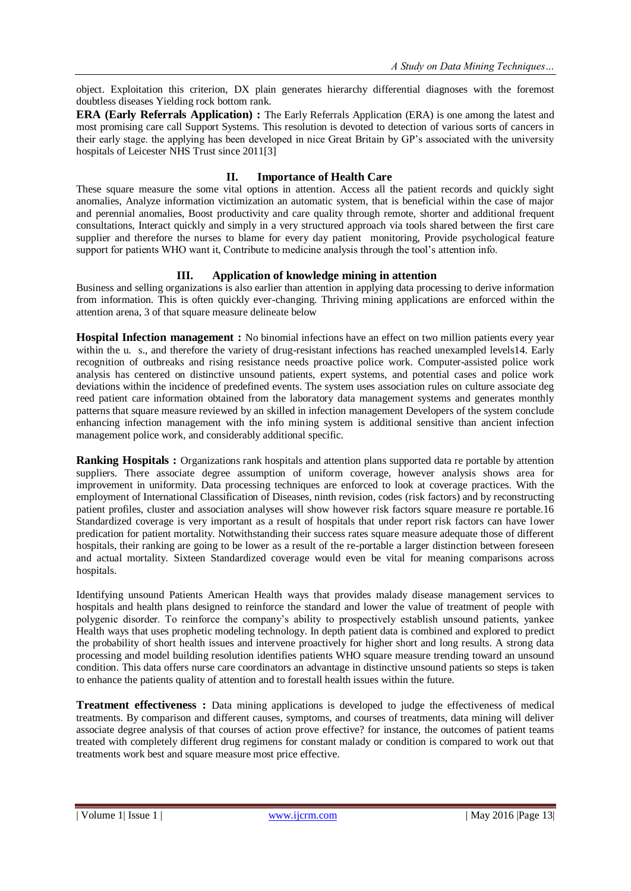object. Exploitation this criterion, DX plain generates hierarchy differential diagnoses with the foremost doubtless diseases Yielding rock bottom rank.

**ERA (Early Referrals Application) :** The Early Referrals Application (ERA) is one among the latest and most promising care call Support Systems. This resolution is devoted to detection of various sorts of cancers in their early stage. the applying has been developed in nice Great Britain by GP's associated with the university hospitals of Leicester NHS Trust since 2011[3]

## **II. Importance of Health Care**

These square measure the some vital options in attention. Access all the patient records and quickly sight anomalies, Analyze information victimization an automatic system, that is beneficial within the case of major and perennial anomalies, Boost productivity and care quality through remote, shorter and additional frequent consultations, Interact quickly and simply in a very structured approach via tools shared between the first care supplier and therefore the nurses to blame for every day patient monitoring, Provide psychological feature support for patients WHO want it, Contribute to medicine analysis through the tool's attention info.

## **III. Application of knowledge mining in attention**

Business and selling organizations is also earlier than attention in applying data processing to derive information from information. This is often quickly ever-changing. Thriving mining applications are enforced within the attention arena, 3 of that square measure delineate below

**Hospital Infection management :** No binomial infections have an effect on two million patients every year within the u. s., and therefore the variety of drug-resistant infections has reached unexampled levels14. Early recognition of outbreaks and rising resistance needs proactive police work. Computer-assisted police work analysis has centered on distinctive unsound patients, expert systems, and potential cases and police work deviations within the incidence of predefined events. The system uses association rules on culture associate deg reed patient care information obtained from the laboratory data management systems and generates monthly patterns that square measure reviewed by an skilled in infection management Developers of the system conclude enhancing infection management with the info mining system is additional sensitive than ancient infection management police work, and considerably additional specific.

**Ranking Hospitals :** Organizations rank hospitals and attention plans supported data re portable by attention suppliers. There associate degree assumption of uniform coverage, however analysis shows area for improvement in uniformity. Data processing techniques are enforced to look at coverage practices. With the employment of International Classification of Diseases, ninth revision, codes (risk factors) and by reconstructing patient profiles, cluster and association analyses will show however risk factors square measure re portable.16 Standardized coverage is very important as a result of hospitals that under report risk factors can have lower predication for patient mortality. Notwithstanding their success rates square measure adequate those of different hospitals, their ranking are going to be lower as a result of the re-portable a larger distinction between foreseen and actual mortality. Sixteen Standardized coverage would even be vital for meaning comparisons across hospitals.

Identifying unsound Patients American Health ways that provides malady disease management services to hospitals and health plans designed to reinforce the standard and lower the value of treatment of people with polygenic disorder. To reinforce the company's ability to prospectively establish unsound patients, yankee Health ways that uses prophetic modeling technology. In depth patient data is combined and explored to predict the probability of short health issues and intervene proactively for higher short and long results. A strong data processing and model building resolution identifies patients WHO square measure trending toward an unsound condition. This data offers nurse care coordinators an advantage in distinctive unsound patients so steps is taken to enhance the patients quality of attention and to forestall health issues within the future.

**Treatment effectiveness :** Data mining applications is developed to judge the effectiveness of medical treatments. By comparison and different causes, symptoms, and courses of treatments, data mining will deliver associate degree analysis of that courses of action prove effective? for instance, the outcomes of patient teams treated with completely different drug regimens for constant malady or condition is compared to work out that treatments work best and square measure most price effective.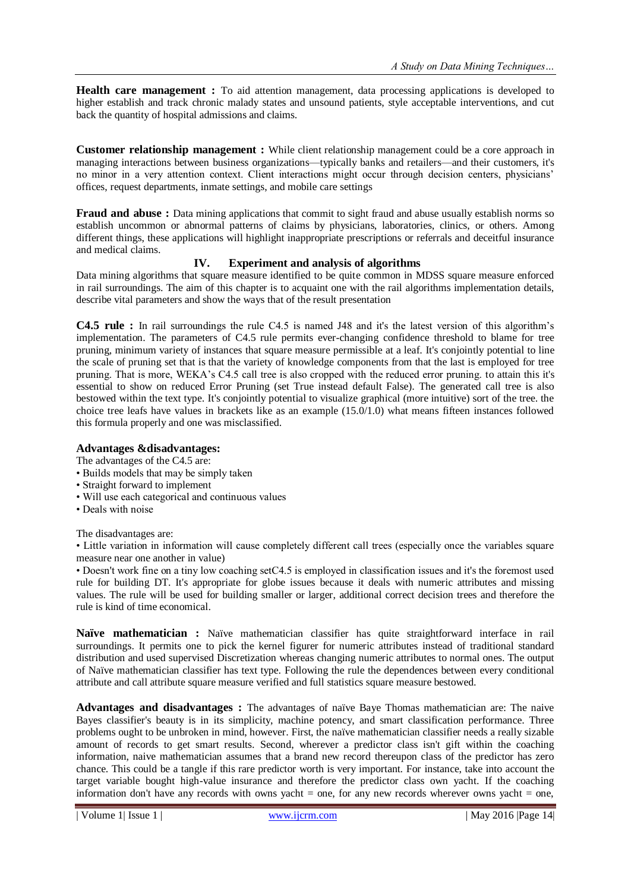**Health care management :** To aid attention management, data processing applications is developed to higher establish and track chronic malady states and unsound patients, style acceptable interventions, and cut back the quantity of hospital admissions and claims.

**Customer relationship management :** While client relationship management could be a core approach in managing interactions between business organizations—typically banks and retailers—and their customers, it's no minor in a very attention context. Client interactions might occur through decision centers, physicians' offices, request departments, inmate settings, and mobile care settings

**Fraud and abuse** : Data mining applications that commit to sight fraud and abuse usually establish norms so establish uncommon or abnormal patterns of claims by physicians, laboratories, clinics, or others. Among different things, these applications will highlight inappropriate prescriptions or referrals and deceitful insurance and medical claims.

## **IV. Experiment and analysis of algorithms**

Data mining algorithms that square measure identified to be quite common in MDSS square measure enforced in rail surroundings. The aim of this chapter is to acquaint one with the rail algorithms implementation details, describe vital parameters and show the ways that of the result presentation

**C4.5 rule :** In rail surroundings the rule C4.5 is named J48 and it's the latest version of this algorithm's implementation. The parameters of C4.5 rule permits ever-changing confidence threshold to blame for tree pruning, minimum variety of instances that square measure permissible at a leaf. It's conjointly potential to line the scale of pruning set that is that the variety of knowledge components from that the last is employed for tree pruning. That is more, WEKA's C4.5 call tree is also cropped with the reduced error pruning. to attain this it's essential to show on reduced Error Pruning (set True instead default False). The generated call tree is also bestowed within the text type. It's conjointly potential to visualize graphical (more intuitive) sort of the tree. the choice tree leafs have values in brackets like as an example (15.0/1.0) what means fifteen instances followed this formula properly and one was misclassified.

#### **Advantages &disadvantages:**

The advantages of the C4.5 are:

- Builds models that may be simply taken
- Straight forward to implement
- Will use each categorical and continuous values
- Deals with noise

The disadvantages are:

• Little variation in information will cause completely different call trees (especially once the variables square measure near one another in value)

• Doesn't work fine on a tiny low coaching setC4.5 is employed in classification issues and it's the foremost used rule for building DT. It's appropriate for globe issues because it deals with numeric attributes and missing values. The rule will be used for building smaller or larger, additional correct decision trees and therefore the rule is kind of time economical.

**Naïve mathematician :** Naïve mathematician classifier has quite straightforward interface in rail surroundings. It permits one to pick the kernel figurer for numeric attributes instead of traditional standard distribution and used supervised Discretization whereas changing numeric attributes to normal ones. The output of Naïve mathematician classifier has text type. Following the rule the dependences between every conditional attribute and call attribute square measure verified and full statistics square measure bestowed.

**Advantages and disadvantages :** The advantages of naïve Baye Thomas mathematician are: The naive Bayes classifier's beauty is in its simplicity, machine potency, and smart classification performance. Three problems ought to be unbroken in mind, however. First, the naïve mathematician classifier needs a really sizable amount of records to get smart results. Second, wherever a predictor class isn't gift within the coaching information, naive mathematician assumes that a brand new record thereupon class of the predictor has zero chance. This could be a tangle if this rare predictor worth is very important. For instance, take into account the target variable bought high-value insurance and therefore the predictor class own yacht. If the coaching information don't have any records with owns yacht  $=$  one, for any new records wherever owns yacht  $=$  one,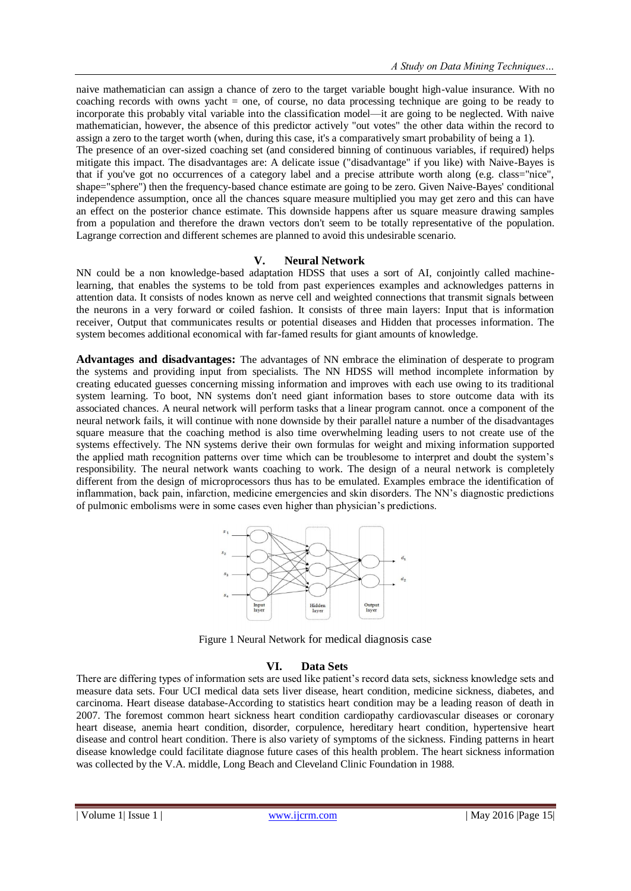naive mathematician can assign a chance of zero to the target variable bought high-value insurance. With no coaching records with owns yacht = one, of course, no data processing technique are going to be ready to incorporate this probably vital variable into the classification model—it are going to be neglected. With naive mathematician, however, the absence of this predictor actively "out votes" the other data within the record to assign a zero to the target worth (when, during this case, it's a comparatively smart probability of being a 1).

The presence of an over-sized coaching set (and considered binning of continuous variables, if required) helps mitigate this impact. The disadvantages are: A delicate issue ("disadvantage" if you like) with Naive-Bayes is that if you've got no occurrences of a category label and a precise attribute worth along (e.g. class="nice", shape="sphere") then the frequency-based chance estimate are going to be zero. Given Naive-Bayes' conditional independence assumption, once all the chances square measure multiplied you may get zero and this can have an effect on the posterior chance estimate. This downside happens after us square measure drawing samples from a population and therefore the drawn vectors don't seem to be totally representative of the population. Lagrange correction and different schemes are planned to avoid this undesirable scenario.

#### **V. Neural Network**

NN could be a non knowledge-based adaptation HDSS that uses a sort of AI, conjointly called machinelearning, that enables the systems to be told from past experiences examples and acknowledges patterns in attention data. It consists of nodes known as nerve cell and weighted connections that transmit signals between the neurons in a very forward or coiled fashion. It consists of three main layers: Input that is information receiver, Output that communicates results or potential diseases and Hidden that processes information. The system becomes additional economical with far-famed results for giant amounts of knowledge.

**Advantages and disadvantages:** The advantages of NN embrace the elimination of desperate to program the systems and providing input from specialists. The NN HDSS will method incomplete information by creating educated guesses concerning missing information and improves with each use owing to its traditional system learning. To boot, NN systems don't need giant information bases to store outcome data with its associated chances. A neural network will perform tasks that a linear program cannot. once a component of the neural network fails, it will continue with none downside by their parallel nature a number of the disadvantages square measure that the coaching method is also time overwhelming leading users to not create use of the systems effectively. The NN systems derive their own formulas for weight and mixing information supported the applied math recognition patterns over time which can be troublesome to interpret and doubt the system's responsibility. The neural network wants coaching to work. The design of a neural network is completely different from the design of microprocessors thus has to be emulated. Examples embrace the identification of inflammation, back pain, infarction, medicine emergencies and skin disorders. The NN's diagnostic predictions of pulmonic embolisms were in some cases even higher than physician's predictions.



Figure 1 Neural Network for medical diagnosis case

#### **VI. Data Sets**

There are differing types of information sets are used like patient's record data sets, sickness knowledge sets and measure data sets. Four UCI medical data sets liver disease, heart condition, medicine sickness, diabetes, and carcinoma. Heart disease database-According to statistics heart condition may be a leading reason of death in 2007. The foremost common heart sickness heart condition cardiopathy cardiovascular diseases or coronary heart disease, anemia heart condition, disorder, corpulence, hereditary heart condition, hypertensive heart disease and control heart condition. There is also variety of symptoms of the sickness. Finding patterns in heart disease knowledge could facilitate diagnose future cases of this health problem. The heart sickness information was collected by the V.A. middle, Long Beach and Cleveland Clinic Foundation in 1988.